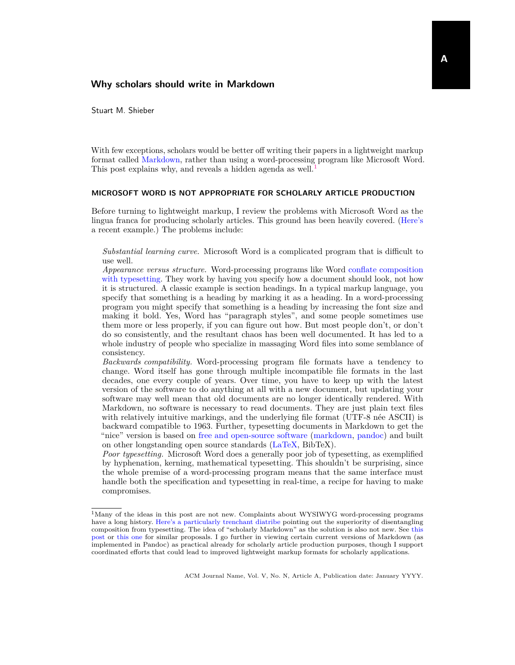## **Why scholars should write in Markdown**

Stuart M. Shieber

With few exceptions, scholars would be better off writing their papers in a lightweight markup format called [Markdown,](http://daringfireball.net/projects/markdown/) rather than using a word-processing program like Microsoft Word. This post explains why, and reveals a hidden agenda as well.<sup>[1](#page-0-0)</sup>

## **MICROSOFT WORD IS NOT APPROPRIATE FOR SCHOLARLY ARTICLE PRODUCTION**

Before turning to lightweight markup, I review the problems with Microsoft Word as the lingua franca for producing scholarly articles. This ground has been heavily covered. [\(Here's](http://www.antipope.org/charlie/blog-static/2013/10/why-microsoft-word-must-die.html) a recent example.) The problems include:

*Substantial learning curve.* Microsoft Word is a complicated program that is difficult to use well.

*Appearance versus structure.* Word-processing programs like Word [conflate composition](http://ricardo.ecn.wfu.edu/~cottrell/wp.html) [with typesetting.](http://ricardo.ecn.wfu.edu/~cottrell/wp.html) They work by having you specify how a document should look, not how it is structured. A classic example is section headings. In a typical markup language, you specify that something is a heading by marking it as a heading. In a word-processing program you might specify that something is a heading by increasing the font size and making it bold. Yes, Word has "paragraph styles", and some people sometimes use them more or less properly, if you can figure out how. But most people don't, or don't do so consistently, and the resultant chaos has been well documented. It has led to a whole industry of people who specialize in massaging Word files into some semblance of consistency.

*Backwards compatibility.* Word-processing program file formats have a tendency to change. Word itself has gone through multiple incompatible file formats in the last decades, one every couple of years. Over time, you have to keep up with the latest version of the software to do anything at all with a new document, but updating your software may well mean that old documents are no longer identically rendered. With Markdown, no software is necessary to read documents. They are just plain text files with relatively intuitive markings, and the underlying file format (UTF-8 née ASCII) is backward compatible to 1963. Further, typesetting documents in Markdown to get the "nice" version is based on [free and open-source software](http://en.wikipedia.org/wiki/Free_and_open-source_software) [\(markdown,](http://daringfireball.net/projects/markdown/license) [pandoc\)](https://code.google.com/p/pandoc/downloads/list) and built on other longstanding open source standards [\(LaTeX,](http://latex-project.org/lppl/) BibTeX).

*Poor typesetting.* Microsoft Word does a generally poor job of typesetting, as exemplified by hyphenation, kerning, mathematical typesetting. This shouldn't be surprising, since the whole premise of a word-processing program means that the same interface must handle both the specification and typesetting in real-time, a recipe for having to make compromises.

ACM Journal Name, Vol. V, No. N, Article A, Publication date: January YYYY.

<span id="page-0-0"></span><sup>&</sup>lt;sup>1</sup>Many of the ideas in this post are not new. Complaints about WYSIWYG word-processing programs have a long history. [Here's a particularly trenchant diatribe](http://ricardo.ecn.wfu.edu/~cottrell/wp.html) pointing out the superiority of disentangling composition from typesetting. The idea of "scholarly Markdown" as the solution is also not new. See [this](http://www.surefoss.org/publishing-publizieren/all-you-need-is-text-markdown-via-pandoc-for-academia/) [post](http://www.surefoss.org/publishing-publizieren/all-you-need-is-text-markdown-via-pandoc-for-academia/) or [this one](https://scholasticahq.com/innovations-in-scholarly-publishing/announcement/one-of-the-biggest-bottlenecks-in-open-access-publishing-is-typesetting-it-shouldn-t-be) for similar proposals. I go further in viewing certain current versions of Markdown (as implemented in Pandoc) as practical already for scholarly article production purposes, though I support coordinated efforts that could lead to improved lightweight markup formats for scholarly applications.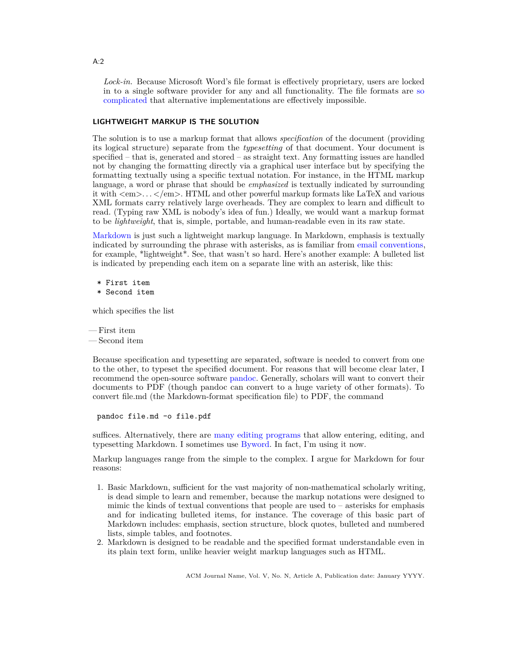*Lock-in.* Because Microsoft Word's file format is effectively proprietary, users are locked in to a single software provider for any and all functionality. The file formats are [so](http://www.joelonsoftware.com/items/2008/02/19.html) [complicated](http://www.joelonsoftware.com/items/2008/02/19.html) that alternative implementations are effectively impossible.

## **LIGHTWEIGHT MARKUP IS THE SOLUTION**

The solution is to use a markup format that allows *specification* of the document (providing its logical structure) separate from the *typesetting* of that document. Your document is specified – that is, generated and stored – as straight text. Any formatting issues are handled not by changing the formatting directly via a graphical user interface but by specifying the formatting textually using a specific textual notation. For instance, in the HTML markup language, a word or phrase that should be *emphasized* is textually indicated by surrounding it with  $\langle em \rangle \dots \langle /em \rangle$ . HTML and other powerful markup formats like LaTeX and various XML formats carry relatively large overheads. They are complex to learn and difficult to read. (Typing raw XML is nobody's idea of fun.) Ideally, we would want a markup format to be *lightweight*, that is, simple, portable, and human-readable even in its raw state.

[Markdown](http://daringfireball.net/projects/markdown/) is just such a lightweight markup language. In Markdown, emphasis is textually indicated by surrounding the phrase with asterisks, as is familiar from [email conventions,](http://www.ietf.org/rfc/rfc1855.txt) for example, \*lightweight\*. See, that wasn't so hard. Here's another example: A bulleted list is indicated by prepending each item on a separate line with an asterisk, like this:

\* First item

\* Second item

which specifies the list

— First item

— Second item

Because specification and typesetting are separated, software is needed to convert from one to the other, to typeset the specified document. For reasons that will become clear later, I recommend the open-source software [pandoc.](http://johnmacfarlane.net/pandoc/) Generally, scholars will want to convert their documents to PDF (though pandoc can convert to a huge variety of other formats). To convert file.md (the Markdown-format specification file) to PDF, the command

pandoc file.md -o file.pdf

suffices. Alternatively, there are [many editing programs](http://mashable.com/2013/06/24/markdown-tools/) that allow entering, editing, and typesetting Markdown. I sometimes use [Byword.](http://bywordapp.com/) In fact, I'm using it now.

Markup languages range from the simple to the complex. I argue for Markdown for four reasons:

- 1. Basic Markdown, sufficient for the vast majority of non-mathematical scholarly writing, is dead simple to learn and remember, because the markup notations were designed to mimic the kinds of textual conventions that people are used to – asterisks for emphasis and for indicating bulleted items, for instance. The coverage of this basic part of Markdown includes: emphasis, section structure, block quotes, bulleted and numbered lists, simple tables, and footnotes.
- 2. Markdown is designed to be readable and the specified format understandable even in its plain text form, unlike heavier weight markup languages such as HTML.

ACM Journal Name, Vol. V, No. N, Article A, Publication date: January YYYY.

A:2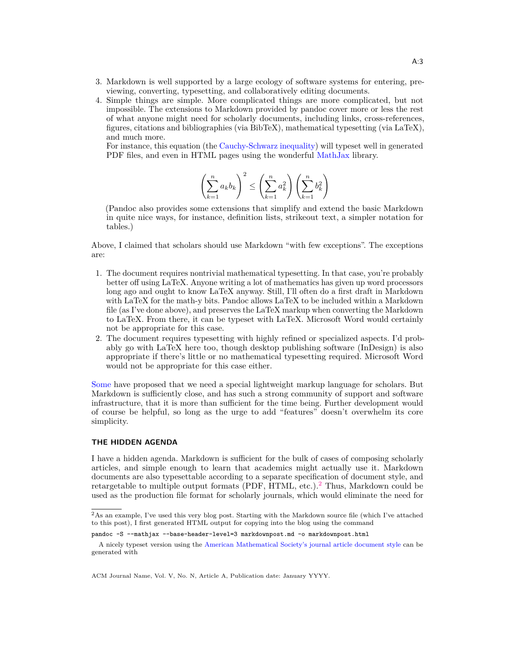- 3. Markdown is well supported by a large ecology of software systems for entering, previewing, converting, typesetting, and collaboratively editing documents.
- 4. Simple things are simple. More complicated things are more complicated, but not impossible. The extensions to Markdown provided by pandoc cover more or less the rest of what anyone might need for scholarly documents, including links, cross-references, figures, citations and bibliographies (via BibTeX), mathematical typesetting (via LaTeX), and much more.

For instance, this equation (the [Cauchy-Schwarz inequality\)](http://en.wikipedia.org/wiki/Cauchy%E2%80%93Schwarz_inequality) will typeset well in generated PDF files, and even in HTML pages using the wonderful [MathJax](http://www.mathjax.org/) library.

$$
\left(\sum_{k=1}^n a_k b_k\right)^2 \le \left(\sum_{k=1}^n a_k^2\right) \left(\sum_{k=1}^n b_k^2\right)
$$

(Pandoc also provides some extensions that simplify and extend the basic Markdown in quite nice ways, for instance, definition lists, strikeout text, a simpler notation for tables.)

Above, I claimed that scholars should use Markdown "with few exceptions". The exceptions are:

- 1. The document requires nontrivial mathematical typesetting. In that case, you're probably better off using LaTeX. Anyone writing a lot of mathematics has given up word processors long ago and ought to know LaTeX anyway. Still, I'll often do a first draft in Markdown with LaTeX for the math-y bits. Pandoc allows LaTeX to be included within a Markdown file (as I've done above), and preserves the LaTeX markup when converting the Markdown to LaTeX. From there, it can be typeset with LaTeX. Microsoft Word would certainly not be appropriate for this case.
- 2. The document requires typesetting with highly refined or specialized aspects. I'd probably go with LaTeX here too, though desktop publishing software (InDesign) is also appropriate if there's little or no mathematical typesetting required. Microsoft Word would not be appropriate for this case either.

[Some](http://blogs.plos.org/mfenner/2012/12/13/a-call-for-scholarly-markdown/) have proposed that we need a special lightweight markup language for scholars. But Markdown is sufficiently close, and has such a strong community of support and software infrastructure, that it is more than sufficient for the time being. Further development would of course be helpful, so long as the urge to add "features" doesn't overwhelm its core simplicity.

## **THE HIDDEN AGENDA**

I have a hidden agenda. Markdown is sufficient for the bulk of cases of composing scholarly articles, and simple enough to learn that academics might actually use it. Markdown documents are also typesettable according to a separate specification of document style, and retargetable to multiple output formats  $(PDF, HTML, etc.).$ <sup>[2](#page-2-0)</sup> Thus, Markdown could be used as the production file format for scholarly journals, which would eliminate the need for

ACM Journal Name, Vol. V, No. N, Article A, Publication date: January YYYY.

<span id="page-2-0"></span><sup>2</sup>As an example, I've used this very blog post. Starting with the Markdown source file (which I've attached to this post), I first generated HTML output for copying into the blog using the command

pandoc -S --mathjax --base-header-level=3 markdownpost.md -o markdownpost.html

A nicely typeset version using the [American Mathematical Society's journal article document style](http://www.ams.org/publications/authors/tex/tex) can be generated with